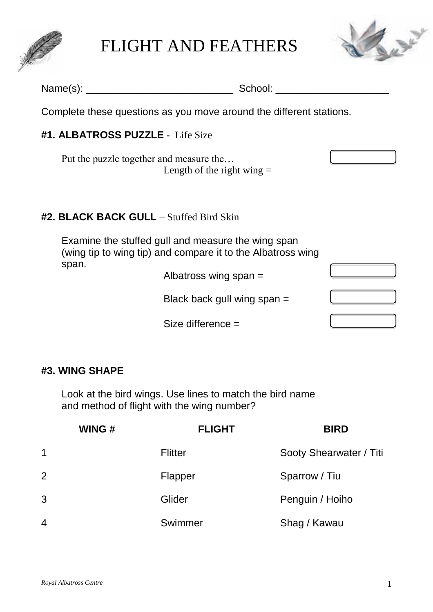

FLIGHT AND FEATHERS



| Name(s): $\frac{1}{2}$ | School:                                                                                                           |  |
|------------------------|-------------------------------------------------------------------------------------------------------------------|--|
|                        | Complete these questions as you move around the different stations.                                               |  |
|                        | #1. ALBATROSS PUZZLE - Life Size                                                                                  |  |
|                        | Put the puzzle together and measure the<br>Length of the right wing $=$                                           |  |
|                        | <b>#2. BLACK BACK GULL</b> – Stuffed Bird Skin                                                                    |  |
|                        | Examine the stuffed gull and measure the wing span<br>(wing tip to wing tip) and compare it to the Albatross wing |  |
| span.                  | Albatross wing span $=$                                                                                           |  |
|                        | Black back gull wing span $=$                                                                                     |  |
|                        | Size difference $=$                                                                                               |  |

# **#3. WING SHAPE**

Look at the bird wings. Use lines to match the bird name and method of flight with the wing number?

|                | WING# | <b>FLIGHT</b>  | <b>BIRD</b>             |
|----------------|-------|----------------|-------------------------|
| 1              |       | <b>Flitter</b> | Sooty Shearwater / Titi |
| $\overline{2}$ |       | Flapper        | Sparrow / Tiu           |
| 3              |       | Glider         | Penguin / Hoiho         |
| 4              |       | Swimmer        | Shag / Kawau            |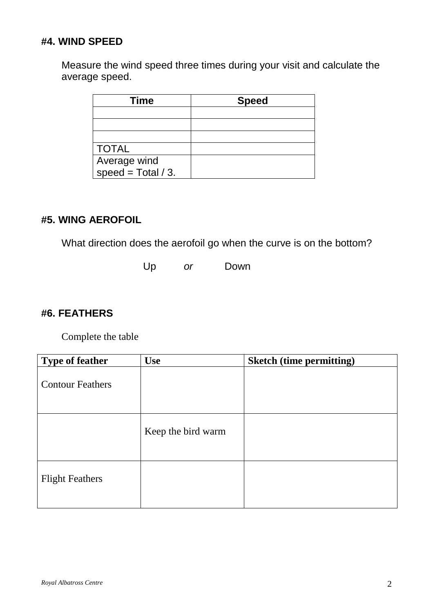# **#4. WIND SPEED**

Measure the wind speed three times during your visit and calculate the average speed.

| Time                 | <b>Speed</b> |  |  |
|----------------------|--------------|--|--|
|                      |              |  |  |
|                      |              |  |  |
|                      |              |  |  |
| <b>TOTAL</b>         |              |  |  |
| Average wind         |              |  |  |
| speed = Total $/$ 3. |              |  |  |

# **#5. WING AEROFOIL**

What direction does the aerofoil go when the curve is on the bottom?

Up *or* Down

## **#6. FEATHERS**

Complete the table

| <b>Type of feather</b>  | <b>Use</b>         | <b>Sketch (time permitting)</b> |
|-------------------------|--------------------|---------------------------------|
| <b>Contour Feathers</b> |                    |                                 |
|                         | Keep the bird warm |                                 |
| <b>Flight Feathers</b>  |                    |                                 |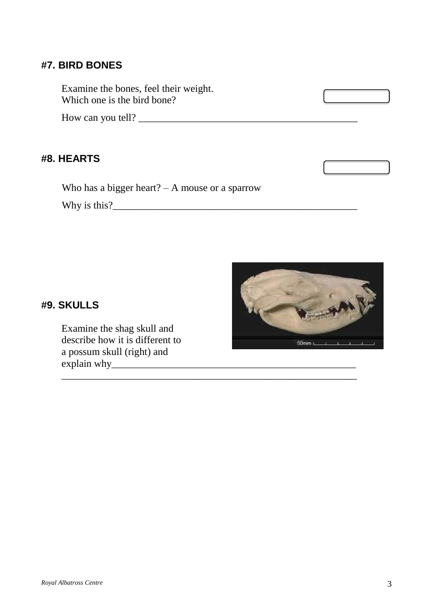#### **#7. BIRD BONES**

Examine the bones, feel their weight. Which one is the bird bone?

How can you tell? \_\_\_\_\_\_\_\_\_\_\_\_\_\_\_\_\_\_\_\_\_\_\_\_\_\_\_\_\_\_\_\_\_\_\_\_\_\_\_\_\_\_\_

### **#8. HEARTS**

Who has a bigger heart? – A mouse or a sparrow

\_\_\_\_\_\_\_\_\_\_\_\_\_\_\_\_\_\_\_\_\_\_\_\_\_\_\_\_\_\_\_\_\_\_\_\_\_\_\_\_\_\_\_\_\_\_\_\_\_\_\_\_\_\_\_\_\_\_

Why is this?\_\_\_\_\_\_\_\_\_\_\_\_\_\_\_\_\_\_\_\_\_\_\_\_\_\_\_\_\_\_\_\_\_\_\_\_\_\_\_\_\_\_\_\_\_\_\_\_



#### **#9. SKULLS**

Examine the shag skull and describe how it is different to a possum skull (right) and explain why\_\_\_\_\_\_\_\_\_\_\_\_\_\_\_\_\_\_\_\_\_\_\_\_\_\_\_\_\_\_\_\_\_\_\_\_\_\_\_\_\_\_\_\_\_\_\_\_